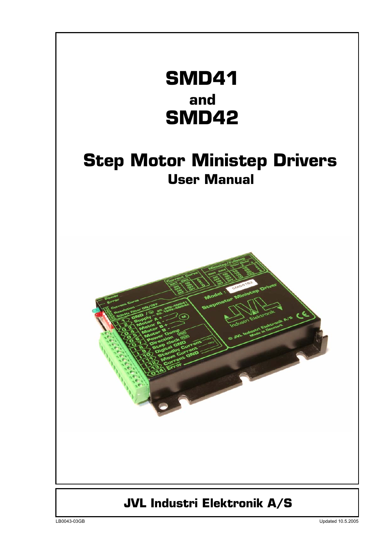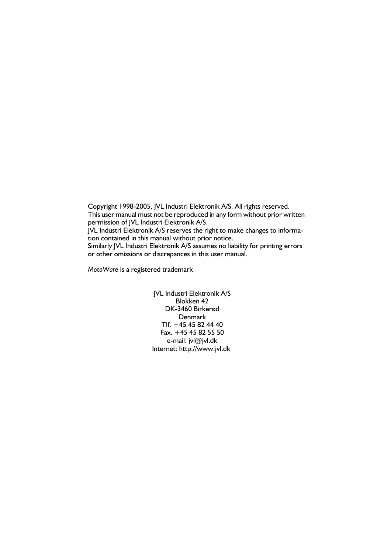Copyright 1998-2005, JVL Industri Elektronik A/S. All rights reserved. This user manual must not be reproduced in any form without prior written permission of JVL Industri Elektronik A/S. JVL Industri Elektronik A/S reserves the right to make changes to information contained in this manual without prior notice. Similarly JVL Industri Elektronik A/S assumes no liability for printing errors or other omissions or discrepances in this user manual.

*MotoWare* is a registered trademark

JVL Industri Elektronik A/S Blokken 42 DK-3460 Birkerød Denmark Tlf. +45 45 82 44 40 Fax. +45 45 82 55 50 e-mail: jvl@jvl.dk Internet: http://www.jvl.dk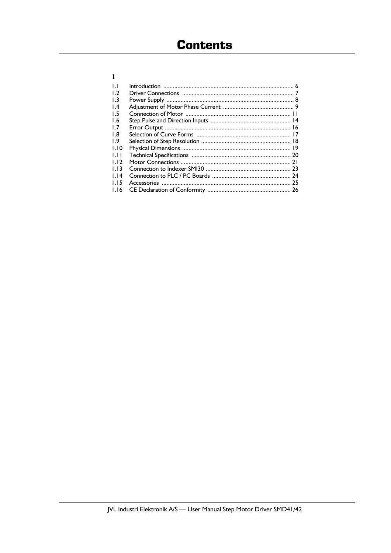| $\mathbf{L}$    |  |
|-----------------|--|
| $\overline{1}$  |  |
| 1.3             |  |
| $\mathsf{I}$ .4 |  |
| 1.5             |  |
| 1.6             |  |
| 1.7             |  |
| 1.8             |  |
| 1.9             |  |
| 1.10            |  |
| 1.11            |  |
| 1.12            |  |
| 1.13            |  |
| 1.14            |  |
| 1.15            |  |
| 1.16            |  |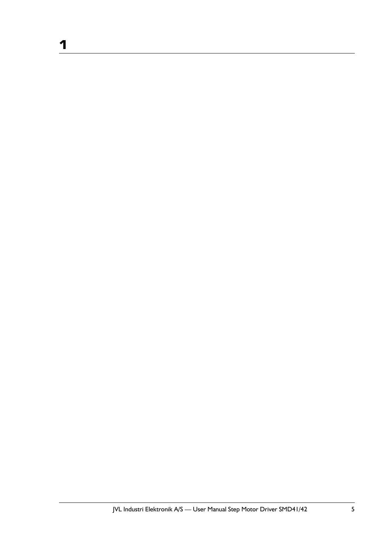**1**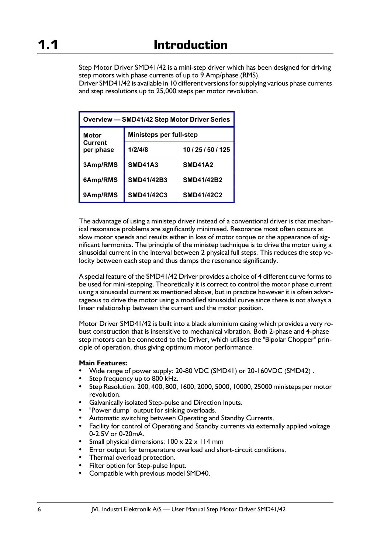Step Motor Driver SMD41/42 is a mini-step driver which has been designed for driving step motors with phase currents of up to 9 Amp/phase (RMS).

Driver SMD41/42 is available in 10 different versions for supplying various phase currents and step resolutions up to 25,000 steps per motor revolution.

| Overview - SMD41/42 Step Motor Driver Series |                         |                    |  |
|----------------------------------------------|-------------------------|--------------------|--|
| <b>Motor</b>                                 | Ministeps per full-step |                    |  |
| <b>Current</b><br>per phase                  | 1/2/4/8                 | 10 / 25 / 50 / 125 |  |
| 3Amp/RMS                                     | <b>SMD41A3</b>          | <b>SMD41A2</b>     |  |
| 6Amp/RMS                                     | <b>SMD41/42B3</b>       | <b>SMD41/42B2</b>  |  |
| 9Amp/RMS                                     | <b>SMD41/42C3</b>       | <b>SMD41/42C2</b>  |  |

The advantage of using a ministep driver instead of a conventional driver is that mechanical resonance problems are significantly minimised. Resonance most often occurs at slow motor speeds and results either in loss of motor torque or the appearance of significant harmonics. The principle of the ministep technique is to drive the motor using a sinusoidal current in the interval between 2 physical full steps. This reduces the step velocity between each step and thus damps the resonance significantly.

A special feature of the SMD41/42 Driver provides a choice of 4 different curve forms to be used for mini-stepping. Theoretically it is correct to control the motor phase current using a sinusoidal current as mentioned above, but in practice however it is often advantageous to drive the motor using a modified sinusoidal curve since there is not always a linear relationship between the current and the motor position.

Motor Driver SMD41/42 is built into a black aluminium casing which provides a very robust construction that is insensitive to mechanical vibration. Both 2-phase and 4-phase step motors can be connected to the Driver, which utilises the "Bipolar Chopper" principle of operation, thus giving optimum motor performance.

### **Main Features:**

- Wide range of power supply: 20-80 VDC (SMD41) or 20-160VDC (SMD42) .
- Step frequency up to 800 kHz.
- Step Resolution: 200, 400, 800, 1600, 2000, 5000, 10000, 25000 ministeps per motor revolution.
- Galvanically isolated Step-pulse and Direction Inputs.
- "Power dump" output for sinking overloads.
- Automatic switching between Operating and Standby Currents.
- Facility for control of Operating and Standby currents via externally applied voltage 0-2.5V or 0-20mA.
- Small physical dimensions:  $100 \times 22 \times 114$  mm
- Error output for temperature overload and short-circuit conditions.
- Thermal overload protection.
- Filter option for Step-pulse Input.
- Compatible with previous model SMD40.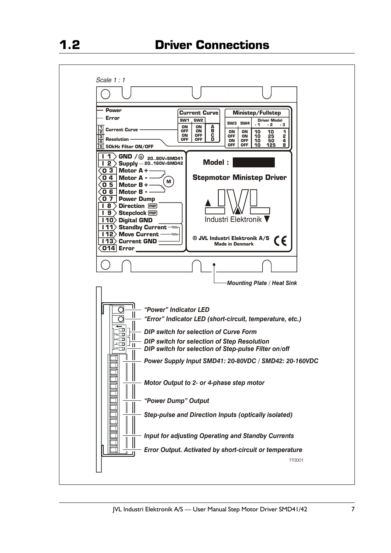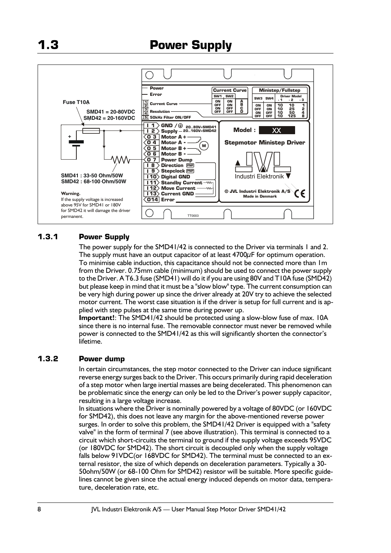

### **1.3.1 Power Supply**

The power supply for the SMD41/42 is connected to the Driver via terminals 1 and 2. The supply must have an output capacitor of at least 4700 $\mu$ F for optimum operation. To minimise cable induction, this capacitance should not be connected more than 1m from the Driver. 0.75mm cable (minimum) should be used to connect the power supply to the Driver. A T6.3 fuse (SMD41) will do it if you are using 80V and T10A fuse (SMD42) but please keep in mind that it must be a "slow blow" type. The current consumption can be very high during power up since the driver already at 20V try to achieve the selected motor current. The worst case situation is if the driver is setup for full current and is applied with step pulses at the same time during power up.

**Important!**: The SMD41/42 should be protected using a slow-blow fuse of max. 10A since there is no internal fuse. The removable connector must never be removed while power is connected to the SMD41/42 as this will significantly shorten the connector's lifetime.

### **1.3.2 Power dump**

In certain circumstances, the step motor connected to the Driver can induce significant reverse energy surges back to the Driver. This occurs primarily during rapid deceleration of a step motor when large inertial masses are being decelerated. This phenomenon can be problematic since the energy can only be led to the Driver's power supply capacitor, resulting in a large voltage increase.

In situations where the Driver is nominally powered by a voltage of 80VDC (or 160VDC for SMD42), this does not leave any margin for the above-mentioned reverse power surges. In order to solve this problem, the SMD41/42 Driver is equipped with a "safety valve" in the form of terminal 7 (see above illustration). This terminal is connected to a circuit which short-circuits the terminal to ground if the supply voltage exceeds 95VDC (or 180VDC for SMD42). The short circuit is decoupled only when the supply voltage falls below 91VDC(or 168VDC for SMD42). The terminal must be connected to an external resistor, the size of which depends on deceleration parameters. Typically a 30- 50ohm/50W (or 68-100 Ohm for SMD42) resistor will be suitable. More specific guidelines cannot be given since the actual energy induced depends on motor data, temperature, deceleration rate, etc.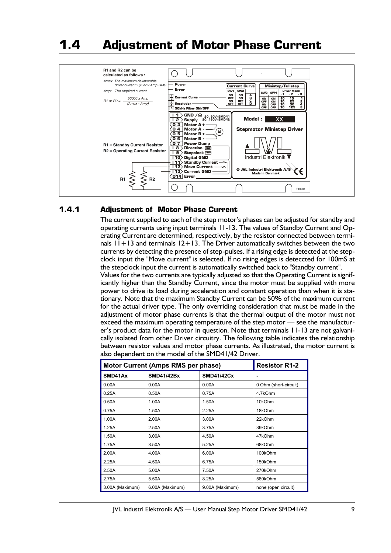# **1.4 Adjustment of Motor Phase Current**



### **1.4.1 Adjustment of Motor Phase Current**

The current supplied to each of the step motor's phases can be adjusted for standby and operating currents using input terminals 11-13. The values of Standby Current and Operating Current are determined, respectively, by the resistor connected between terminals  $11+13$  and terminals  $12+13$ . The Driver automatically switches between the two currents by detecting the presence of step-pulses. If a rising edge is detected at the stepclock input the "Move current" is selected. If no rising edges is deteccted for 100mS at the stepclock input the current is automatically switched back to "Standby current". Values for the two currents are typically adjusted so that the Operating Current is significantly higher than the Standby Current, since the motor must be supplied with more

power to drive its load during acceleration and constant operation than when it is stationary. Note that the maximum Standby Current can be 50% of the maximum current for the actual driver type. The only overriding consideration that must be made in the adjustment of motor phase currents is that the thermal output of the motor must not exceed the maximum operating temperature of the step motor — see the manufacturer's product data for the motor in question. Note that terminals 11-13 are not galvanically isolated from other Driver circuitry. The following table indicates the relationship between resistor values and motor phase currents. As illustrated, the motor current is also dependent on the model of the SMD41/42 Driver.

| Motor Current (Amps RMS per phase) | <b>Resistor R1-2</b> |                   |                       |  |
|------------------------------------|----------------------|-------------------|-----------------------|--|
| SMD41Ax                            | <b>SMD41/42Bx</b>    | <b>SMD41/42Cx</b> |                       |  |
| 0.00A                              | 0.00A                | 0.00A             | 0 Ohm (short-circuit) |  |
| 0.25A                              | 0.50A                | 0.75A             | 4.7kOhm               |  |
| 0.50A                              | 1.00A                | 1.50A             | 10kOhm                |  |
| 0.75A                              | 1.50A                | 2.25A             | 18kOhm                |  |
| 1.00A                              | 2.00A                | 3.00A             | 22kOhm                |  |
| 1.25A                              | 2.50A                | 3.75A             | 39kOhm                |  |
| 1.50A                              | 3.00A                | 4.50A             | 47kOhm                |  |
| 1.75A                              | 3.50A                | 5.25A             | 68kOhm                |  |
| 2.00A                              | 4.00A                | 6.00A             | 100kOhm               |  |
| 2.25A                              | 4.50A                | 6.75A             | 150kOhm               |  |
| 2.50A                              | 5.00A                | 7.50A             | 270kOhm               |  |
| 2.75A                              | 5.50A                | 8.25A             | 560kOhm               |  |
| 3.00A (Maximum)                    | 6.00A (Maximum)      | 9.00A (Maximum)   | none (open circuit)   |  |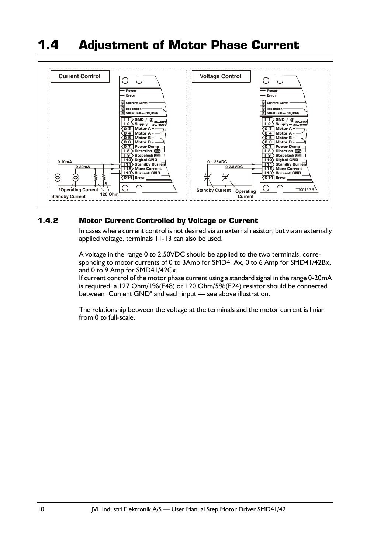# **1.4 Adjustment of Motor Phase Current**



### **1.4.2 Motor Current Controlled by Voltage or Current**

In cases where current control is not desired via an external resistor, but via an externally applied voltage, terminals 11-13 can also be used.

A voltage in the range 0 to 2.50VDC should be applied to the two terminals, corresponding to motor currents of 0 to 3Amp for SMD41Ax, 0 to 6 Amp for SMD41/42Bx, and 0 to 9 Amp for SMD41/42Cx.

If current control of the motor phase current using a standard signal in the range 0-20mA is required, a 127 Ohm/1%(E48) or 120 Ohm/5%(E24) resistor should be connected between "Current GND" and each input — see above illustration.

The relationship between the voltage at the terminals and the motor current is liniar from 0 to full-scale.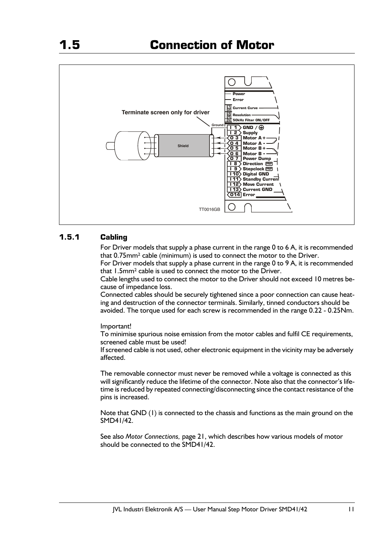

### **1.5.1 Cabling**

For Driver models that supply a phase current in the range 0 to 6 A, it is recommended that 0.75mm² cable (minimum) is used to connect the motor to the Driver.

For Driver models that supply a phase current in the range 0 to 9 A, it is recommended that 1.5mm² cable is used to connect the motor to the Driver.

Cable lengths used to connect the motor to the Driver should not exceed 10 metres because of impedance loss.

Connected cables should be securely tightened since a poor connection can cause heating and destruction of the connector terminals. Similarly, tinned conductors should be avoided. The torque used for each screw is recommended in the range 0.22 - 0.25Nm.

Important!

To minimise spurious noise emission from the motor cables and fulfil CE requirements, screened cable must be used!

If screened cable is not used, other electronic equipment in the vicinity may be adversely affected.

The removable connector must never be removed while a voltage is connected as this will significantly reduce the lifetime of the connector. Note also that the connector's lifetime is reduced by repeated connecting/disconnecting since the contact resistance of the pins is increased.

Note that GND (1) is connected to the chassis and functions as the main ground on the SMD41/42.

See also *Motor Connections,* page 21, which describes how various models of motor should be connected to the SMD41/42.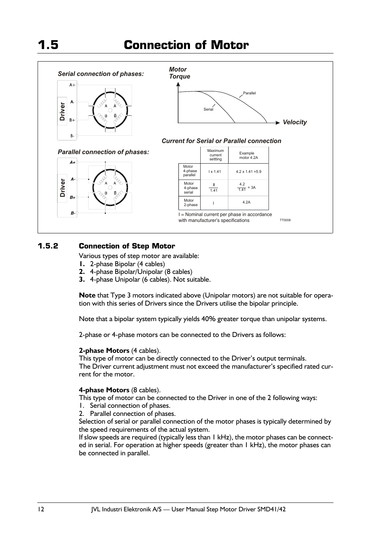

### **1.5.2 Connection of Step Motor**

Various types of step motor are available:

- **1.** 2-phase Bipolar (4 cables)
- **2.** 4-phase Bipolar/Unipolar (8 cables)
- **3.** 4-phase Unipolar (6 cables). Not suitable.

**Note** that Type 3 motors indicated above (Unipolar motors) are not suitable for operation with this series of Drivers since the Drivers utilise the bipolar principle.

Note that a bipolar system typically yields 40% greater torque than unipolar systems.

2-phase or 4-phase motors can be connected to the Drivers as follows:

### **2-phase Motors** (4 cables).

This type of motor can be directly connected to the Driver's output terminals. The Driver current adjustment must not exceed the manufacturer's specified rated current for the motor.

### **4-phase Motors** (8 cables).

This type of motor can be connected to the Driver in one of the 2 following ways:

- 1. Serial connection of phases.
- 2. Parallel connection of phases.

Selection of serial or parallel connection of the motor phases is typically determined by the speed requirements of the actual system.

If slow speeds are required (typically less than 1 kHz), the motor phases can be connected in serial. For operation at higher speeds (greater than 1 kHz), the motor phases can be connected in parallel.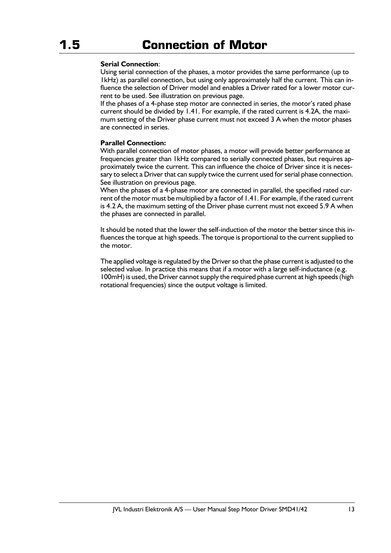### **Serial Connection**:

Using serial connection of the phases, a motor provides the same performance (up to 1kHz) as parallel connection, but using only approximately half the current. This can influence the selection of Driver model and enables a Driver rated for a lower motor current to be used. See illustration on previous page.

 If the phases of a 4-phase step motor are connected in series, the motor's rated phase current should be divided by 1.41. For example, if the rated current is 4.2A, the maximum setting of the Driver phase current must not exceed 3 A when the motor phases are connected in series.

### **Parallel Connection:**

With parallel connection of motor phases, a motor will provide better performance at frequencies greater than 1kHz compared to serially connected phases, but requires approximately twice the current. This can influence the choice of Driver since it is necessary to select a Driver that can supply twice the current used for serial phase connection. See illustration on previous page.

When the phases of a 4-phase motor are connected in parallel, the specified rated current of the motor must be multiplied by a factor of 1.41. For example, if the rated current is 4.2 A, the maximum setting of the Driver phase current must not exceed 5.9 A when the phases are connected in parallel.

It should be noted that the lower the self-induction of the motor the better since this influences the torque at high speeds. The torque is proportional to the current supplied to the motor.

The applied voltage is regulated by the Driver so that the phase current is adjusted to the selected value. In practice this means that if a motor with a large self-inductance (e.g. 100mH) is used, the Driver cannot supply the required phase current at high speeds (high rotational frequencies) since the output voltage is limited.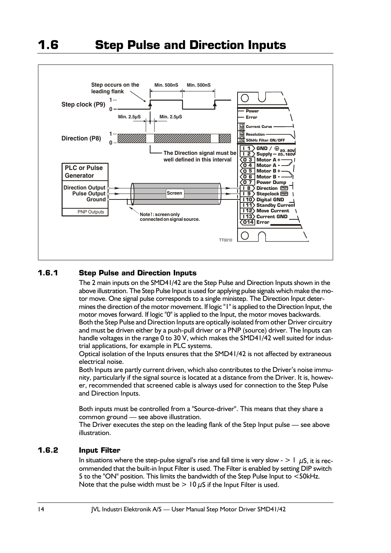

### **1.6.1 Step Pulse and Direction Inputs**

The 2 main inputs on the SMD41/42 are the Step Pulse and Direction Inputs shown in the above illustration. The Step Pulse Input is used for applying pulse signals which make the motor move. One signal pulse corresponds to a single ministep. The Direction Input determines the direction of the motor movement. If logic "1" is applied to the Direction Input, the motor moves forward. If logic "0" is applied to the Input, the motor moves backwards. Both the Step Pulse and Direction Inputs are optically isolated from other Driver circuitry and must be driven either by a push-pull driver or a PNP (source) driver. The Inputs can handle voltages in the range 0 to 30 V, which makes the SMD41/42 well suited for industrial applications, for example in PLC systems.

Optical isolation of the Inputs ensures that the SMD41/42 is not affected by extraneous electrical noise.

Both Inputs are partly current driven, which also contributes to the Driver's noise immunity, particularly if the signal source is located at a distance from the Driver. It is, however, recommended that screened cable is always used for connection to the Step Pulse and Direction Inputs.

Both inputs must be controlled from a "Source-driver". This means that they share a common ground — see above illustration.

The Driver executes the step on the leading flank of the Step Input pulse — see above illustration.

### **1.6.2 Input Filter**

In situations where the step-pulse signal's rise and fall time is very slow -  $> 1 \mu S$ , it is recommended that the built-in Input Filter is used. The Filter is enabled by setting DIP switch 5 to the "ON" position. This limits the bandwidth of the Step Pulse Input to <50kHz. Note that the pulse width must be  $> 10 \mu S$  if the Input Filter is used.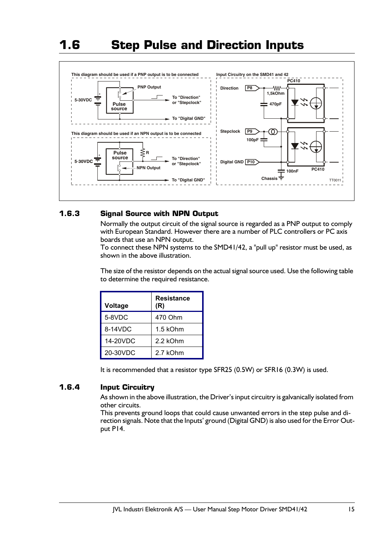## **1.6 Step Pulse and Direction Inputs**



### **1.6.3 Signal Source with NPN Output**

Normally the output circuit of the signal source is regarded as a PNP output to comply with European Standard. However there are a number of PLC controllers or PC axis boards that use an NPN output.

 To connect these NPN systems to the SMD41/42, a "pull up" resistor must be used, as shown in the above illustration.

The size of the resistor depends on the actual signal source used. Use the following table to determine the required resistance.

| Voltage  | <b>Resistance</b><br>(R) |
|----------|--------------------------|
| 5-8VDC   | 470 Ohm                  |
| 8-14VDC  | 1.5 kOhm                 |
| 14-20VDC | 2.2 kOhm                 |
| 20-30VDC | 2.7 kOhm                 |

It is recommended that a resistor type SFR25 (0.5W) or SFR16 (0.3W) is used.

### **1.6.4 Input Circuitry**

As shown in the above illustration, the Driver's input circuitry is galvanically isolated from other circuits.

This prevents ground loops that could cause unwanted errors in the step pulse and direction signals. Note that the Inputs' ground (Digital GND) is also used for the Error Output P14.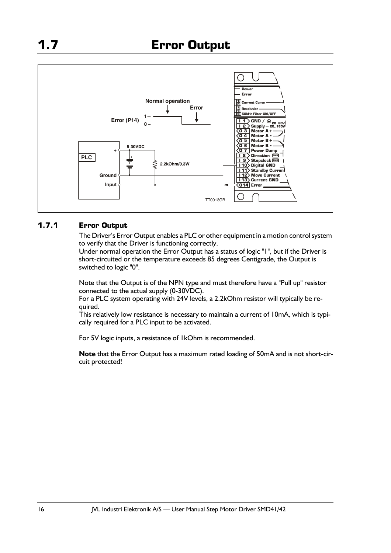

### **1.7.1 Error Output**

The Driver's Error Output enables a PLC or other equipment in a motion control system to verify that the Driver is functioning correctly.

Under normal operation the Error Output has a status of logic "1", but if the Driver is short-circuited or the temperature exceeds 85 degrees Centigrade, the Output is switched to logic "0".

Note that the Output is of the NPN type and must therefore have a "Pull up" resistor connected to the actual supply (0-30VDC).

For a PLC system operating with 24V levels, a 2.2kOhm resistor will typically be required.

This relatively low resistance is necessary to maintain a current of 10mA, which is typically required for a PLC input to be activated.

For 5V logic inputs, a resistance of 1kOhm is recommended.

**Note** that the Error Output has a maximum rated loading of 50mA and is not short-circuit protected!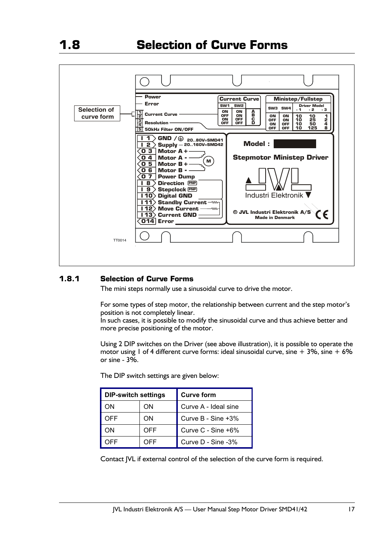

### **1.8.1 Selection of Curve Forms**

The mini steps normally use a sinusoidal curve to drive the motor.

For some types of step motor, the relationship between current and the step motor's position is not completely linear.

In such cases, it is possible to modify the sinusoidal curve and thus achieve better and more precise positioning of the motor.

Using 2 DIP switches on the Driver (see above illustration), it is possible to operate the motor using 1 of 4 different curve forms: ideal sinusoidal curve, sine + 3%, sine + 6% or sine -  $3\%$ .

The DIP switch settings are given below:

| <b>DIP-switch settings</b> |     | <b>Curve form</b>    |
|----------------------------|-----|----------------------|
| OΝ                         | OΝ  | Curve A - Ideal sine |
| <b>OFF</b>                 | OΝ  | Curve B - Sine +3%   |
| OΝ                         | OFF | Curve C - Sine +6%   |
| 7FF                        | OFF | Curve D - Sine -3%   |

Contact JVL if external control of the selection of the curve form is required.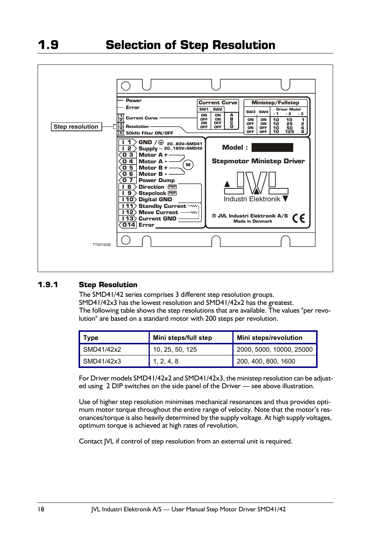

### **1.9.1 Step Resolution**

The SMD41/42 series comprises 3 different step resolution groups. SMD41/42x3 has the lowest resolution and SMD41/42x2 has the greatest. The following table shows the step resolutions that are available. The values "per revolution" are based on a standard motor with 200 steps per revolution.

| <b>Type</b>               | Mini steps/full step | Mini steps/revolution    |  |  |
|---------------------------|----------------------|--------------------------|--|--|
| $\blacksquare$ SMD41/42x2 | 10, 25, 50, 125      | 2000, 5000, 10000, 25000 |  |  |
| $\blacksquare$ SMD41/42x3 | 1, 2, 4, 8           | 200, 400, 800, 1600      |  |  |

For Driver models SMD41/42x2 and SMD41/42x3, the ministep resolution can be adjusted using 2 DIP switches on the side panel of the Driver — see above illustration.

Use of higher step resolution minimises mechanical resonances and thus provides optimum motor torque throughout the entire range of velocity. Note that the motor's resonances/torque is also heavily determined by the supply voltage. At high supply voltages, optimum torque is achieved at high rates of revolution.

Contact JVL if control of step resolution from an external unit is required.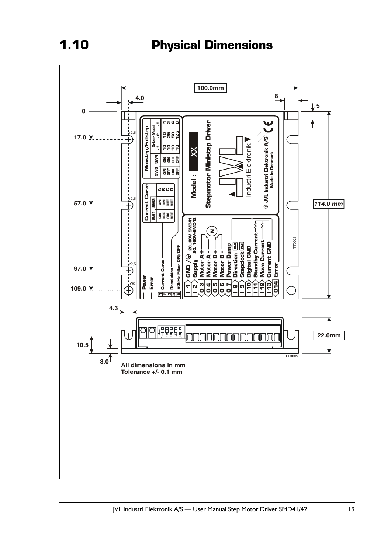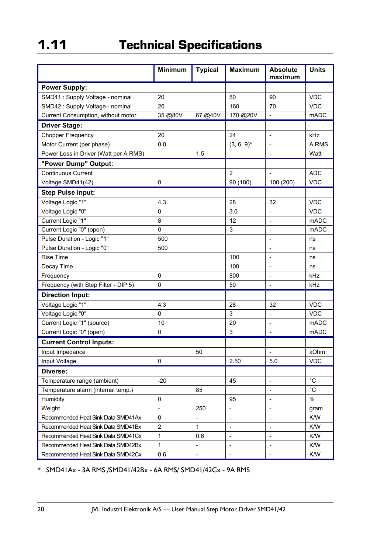|                                       | <b>Minimum</b> | <b>Typical</b>           | <b>Maximum</b>               | <b>Absolute</b><br>maximum   | <b>Units</b> |
|---------------------------------------|----------------|--------------------------|------------------------------|------------------------------|--------------|
| <b>Power Supply:</b>                  |                |                          |                              |                              |              |
| SMD41 : Supply Voltage - nominal      | 20             |                          | 80                           | 90                           | <b>VDC</b>   |
| SMD42 : Supply Voltage - nominal      | 20             |                          | 160                          | 70                           | <b>VDC</b>   |
| Current Consumption, without motor    | 35 @80V        | 67 @40V                  | 170 @20V                     | $\blacksquare$               | <b>mADC</b>  |
| <b>Driver Stage:</b>                  |                |                          |                              |                              |              |
| <b>Chopper Frequency</b>              | 20             |                          | 24                           | $\qquad \qquad \Box$         | kHz          |
| Motor Current (per phase)             | 0.0            |                          | $(3, 6, 9)^*$                | $\overline{a}$               | A RMS        |
| Power Loss in Driver (Watt per A RMS) |                | 1.5                      |                              | ÷,                           | Watt         |
| "Power Dump" Output:                  |                |                          |                              |                              |              |
| <b>Continuous Current</b>             |                |                          | $\overline{2}$               |                              | <b>ADC</b>   |
| Voltage SMD41(42)                     | 0              |                          | 90 (180)                     | 100 (200)                    | <b>VDC</b>   |
| <b>Step Pulse Input:</b>              |                |                          |                              |                              |              |
| Voltage Logic "1"                     | 4.3            |                          | 28                           | 32                           | <b>VDC</b>   |
| Voltage Logic "0"                     | 0              |                          | 3.0                          | $\overline{a}$               | VDC          |
| Current Logic "1"                     | 8              |                          | 12                           | Ĭ.                           | <b>mADC</b>  |
| Current Logic "0" (open)              | 0              |                          | 3                            | $\overline{a}$               | <b>mADC</b>  |
| Pulse Duration - Logic "1"            | 500            |                          |                              | $\overline{a}$               | ns           |
| Pulse Duration - Logic "0"            | 500            |                          |                              | L,                           | ns           |
| <b>Rise Time</b>                      |                |                          | 100                          | $\overline{a}$               | ns           |
| Decay Time                            |                |                          | 100                          | $\overline{a}$               | ns           |
| Frequency                             | 0              |                          | 800                          | L,                           | kHz          |
| Frequency (with Step Filter - DIP 5)  | 0              |                          | 50                           | $\blacksquare$               | kHz          |
| <b>Direction Input:</b>               |                |                          |                              |                              |              |
| Voltage Logic "1"                     | 4.3            |                          | 28                           | 32                           | <b>VDC</b>   |
| Voltage Logic "0"                     | 0              |                          | 3                            | $\frac{1}{2}$                | <b>VDC</b>   |
| Current Logic "1" (source)            | 10             |                          | 20                           | $\overline{a}$               | <b>mADC</b>  |
| Current Logic "0" (open)              | 0              |                          | 3                            | $\qquad \qquad \blacksquare$ | <b>mADC</b>  |
| <b>Current Control Inputs:</b>        |                |                          |                              |                              |              |
| Input Impedance                       |                | 50                       |                              | $\overline{a}$               | kOhm         |
| Input Voltage                         | 0              |                          | 2.50                         | 5.0                          | <b>VDC</b>   |
| Diverse:                              |                |                          |                              |                              |              |
| Temperature range (ambient)           | $-20$          |                          | 45                           | $\overline{a}$               | $^{\circ}$ C |
| Temperature alarm (internal temp.)    |                | 85                       |                              | $\overline{\phantom{a}}$     | $^{\circ}C$  |
| Humidity                              | 0              |                          | 95                           | $\overline{\phantom{0}}$     | $\%$         |
| Weight                                | $\overline{a}$ | 250                      | $\overline{a}$               | $\frac{1}{2}$                | gram         |
| Recommended Heat Sink Data SMD41Ax    | 0              | $\overline{a}$           | $\overline{a}$               | $\overline{\phantom{a}}$     | K/W          |
| Recommended Heat Sink Data SMD41Bx    | $\overline{2}$ | 1                        | $\qquad \qquad \blacksquare$ | $\overline{a}$               | K/W          |
| Recommended Heat Sink Data SMD41Cx    | 1              | 0.6                      | $\overline{\phantom{a}}$     | $\overline{a}$               | K/W          |
| Recommended Heat Sink Data SMD42Bx    | 1              | $\overline{a}$           | $\overline{\phantom{m}}$     | $\overline{\phantom{a}}$     | K/W          |
| Recommended Heat Sink Data SMD42Cx    | 0.6            | $\overline{\phantom{a}}$ | $\overline{\phantom{a}}$     | $\qquad \qquad \blacksquare$ | K/W          |

\* SMD41Ax - 3A RMS /SMD41/42Bx - 6A RMS/ SMD41/42Cx - 9A RMS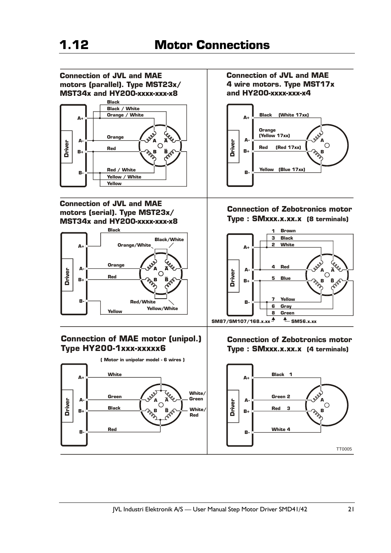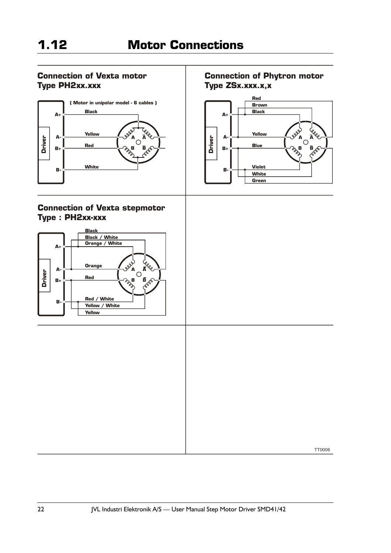**Driver**

**B+ A-**

**B-**

**A+**

**Type ZSx.xxx.x,x**

**Red Brown Black**

**Connection of Phytron motor**

**Yellow Blue**

**A**  $\frac{d}{dx}$ 

**B B** B B B B B B

**Violet White Green**

### **Connection of Vexta motor Type PH2xx.xxx**



### **Connection of Vexta stepmotor Type : PH2xx-xxx**

# **Driver Driver Black Black / White Orange / White A+ A**  $\alpha$   $\alpha$   $\beta$ **Orange A-Driver**  $\begin{pmatrix} \nabla \mathbf{B} & \mathbf{B} \\ \nabla \mathbf{B} & \mathbf{B} \end{pmatrix}$ **Red B+ Red / White B-Yellow / White Yellow**

TT0006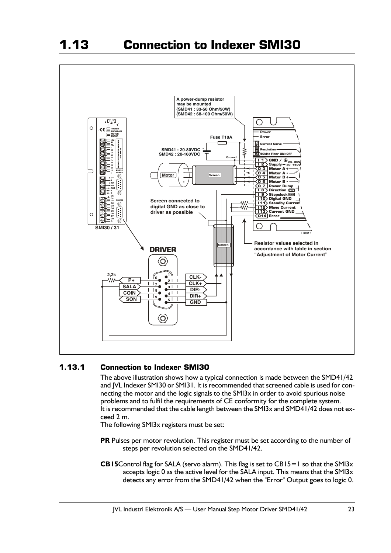

### **1.13.1 Connection to Indexer SMI30**

The above illustration shows how a typical connection is made between the SMD41/42 and JVL Indexer SMI30 or SMI31. It is recommended that screened cable is used for connecting the motor and the logic signals to the SMI3x in order to avoid spurious noise problems and to fulfil the requirements of CE conformity for the complete system. It is recommended that the cable length between the SMI3x and SMD41/42 does not exceed 2 m.

The following SMI3x registers must be set:

- **PR** Pulses per motor revolution. This register must be set according to the number of steps per revolution selected on the SMD41/42.
- **CB15**Control flag for SALA (servo alarm). This flag is set to CB15=1 so that the SMI3x accepts logic 0 as the active level for the SALA input. This means that the SMI3x detects any error from the SMD41/42 when the "Error" Output goes to logic 0.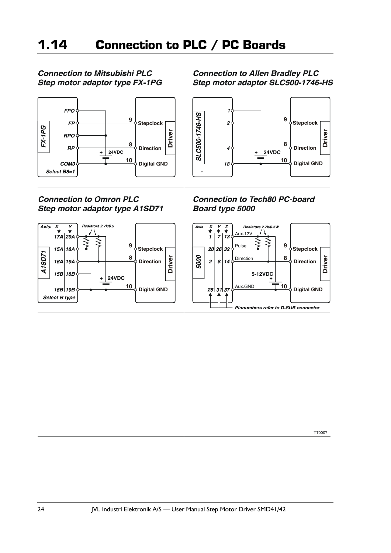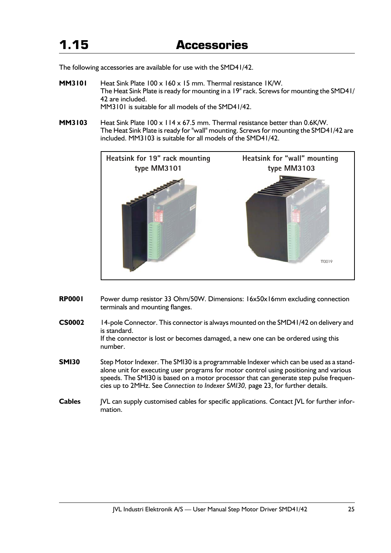The following accessories are available for use with the SMD41/42.

- **MM3101** Heat Sink Plate 100 x 160 x 15 mm. Thermal resistance 1K/W. The Heat Sink Plate is ready for mounting in a 19" rack. Screws for mounting the SMD41/ 42 are included. MM3101 is suitable for all models of the SMD41/42.
- **MM3103** Heat Sink Plate 100 x 114 x 67.5 mm. Thermal resistance better than 0.6K/W. The Heat Sink Plate is ready for "wall" mounting. Screws for mounting the SMD41/42 are included. MM3103 is suitable for all models of the SMD41/42.



- **RP0001** Power dump resistor 33 Ohm/50W. Dimensions: 16x50x16mm excluding connection terminals and mounting flanges.
- **CS0002** 14-pole Connector. This connector is always mounted on the SMD41/42 on delivery and is standard. If the connector is lost or becomes damaged, a new one can be ordered using this number.
- **SMI30** Step Motor Indexer. The SMI30 is a programmable Indexer which can be used as a standalone unit for executing user programs for motor control using positioning and various speeds. The SMI30 is based on a motor processor that can generate step pulse frequencies up to 2MHz. See *Connection to Indexer SMI30,* page 23, for further details.
- **Cables** JVL can supply customised cables for specific applications. Contact JVL for further information.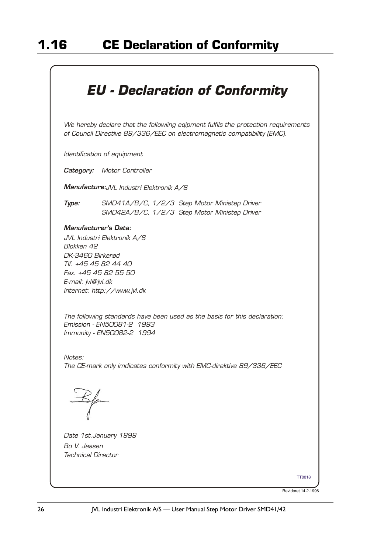# *The following standards have been used as the basis for this declaration: Emission - EN50081-2 1993 Immunity - EN50082-2 1994 The CE-mark only imdicates conformity with EMC-direktive 89/336/EEC Date 1st.January 1999 Bo V. Jessen Technical Director Notes: JVL Industri Elektronik A/S Blokken 42 DK-3460 Birkerød Tlf. +45 45 82 44 40 Fax. +45 45 82 55 50 E-mail: jvl@jvl.dk Internet: http://www.jvl.dk* TT0018 *EU - Declaration of Conformity We hereby declare that the followiing eqipment fulfils the protection requirements of Council Directive 89/336/EEC on electromagnetic compatibility (EMC). Identification of equipment Category: Motor Controller Manufacture:JVL Industri Elektronik A/S Type: Manufacturer's Data: SMD41A/B/C, 1/2/3 Step Motor Ministep Driver SMD42A/B/C, 1/2/3 Step Motor Ministep Driver*

Revideret 14.2.1996